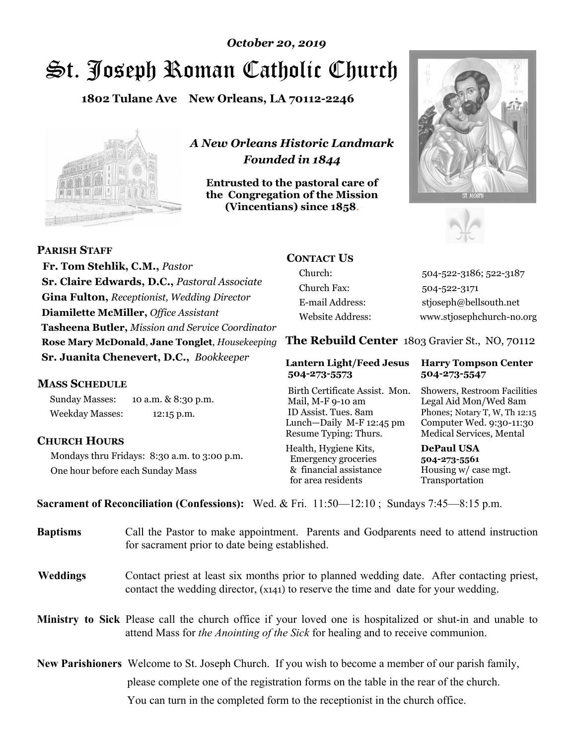# St. Joseph Roman Catholic Church *October 20, 2019*

**1802 Tulane Ave New Orleans, LA 70112-2246**



*A New Orleans Historic Landmark Founded in 1844* 

**Entrusted to the pastoral care of the Congregation of the Mission (Vincentians) since 1858**.





 **Fr. Tom Stehlik, C.M.,** *Pastor* **Sr. Claire Edwards, D.C.,** *Pastoral Associate* **Gina Fulton,** *Receptionist, Wedding Director* **Diamilette McMiller,** *Office Assistant* **Tasheena Butler,** *Mission and Service Coordinator* **Rose Mary McDonald**, **Jane Tonglet**, *Housekeeping* **Sr. Juanita Chenevert, D.C.,** *Bookkeeper* 

#### **MASS SCHEDULE**

**PARISH STAFF**

Sunday Masses: 10 a.m. & 8:30 p.m. Weekday Masses: 12:15 p.m.

#### **CHURCH HOURS**

Mondays thru Fridays: 8:30 a.m. to 3:00 p.m. One hour before each Sunday Mass

# **CONTACT US**

Church: 504-522-3186; 522-3187 Church Fax: 504-522-3171 E-mail Address: stjoseph@bellsouth.net Website Address: www.stjosephchurch-no.org

**The Rebuild Center** 1803 Gravier St., NO, 70112

#### **Lantern Light/Feed Jesus Harry Tompson Center 504-273-5573 504-273-5547**

Birth Certificate Assist. Mon. Showers, Restroom Facilities Mail, M-F 9-10 am Legal Aid Mon/Wed 8am ID Assist. Tues. 8am Phones; Notary T, W, Th 12:15 Lunch—Daily M-F 12:45 pm Computer Wed. 9:30-11:30 Resume Typing: Thurs. Medical Services, Mental

Health, Hygiene Kits, **DePaul USA**  Emergency groceries **504-273-5561** & financial assistance Housing w/ case mgt.<br>for area residents Transportation for area residents

**Sacrament of Reconciliation (Confessions):** Wed. & Fri. 11:50—12:10 ; Sundays 7:45—8:15 p.m.

| <b>Baptisms</b> | Call the Pastor to make appointment. Parents and Godparents need to attend instruction<br>for sacrament prior to date being established.                                                            |  |
|-----------------|-----------------------------------------------------------------------------------------------------------------------------------------------------------------------------------------------------|--|
| <b>Weddings</b> | Contact priest at least six months prior to planned wedding date. After contacting priest,<br>contact the wedding director, (x141) to reserve the time and date for your wedding.                   |  |
|                 | <b>Ministry to Sick</b> Please call the church office if your loved one is hospitalized or shut-in and unable to<br>attend Mass for the Anointing of the Sick for healing and to receive communion. |  |
|                 | New Parishioners Welcome to St. Joseph Church. If you wish to become a member of our parish family,                                                                                                 |  |
|                 | please complete one of the registration forms on the table in the rear of the church.                                                                                                               |  |
|                 | You can turn in the completed form to the reception is the church office.                                                                                                                           |  |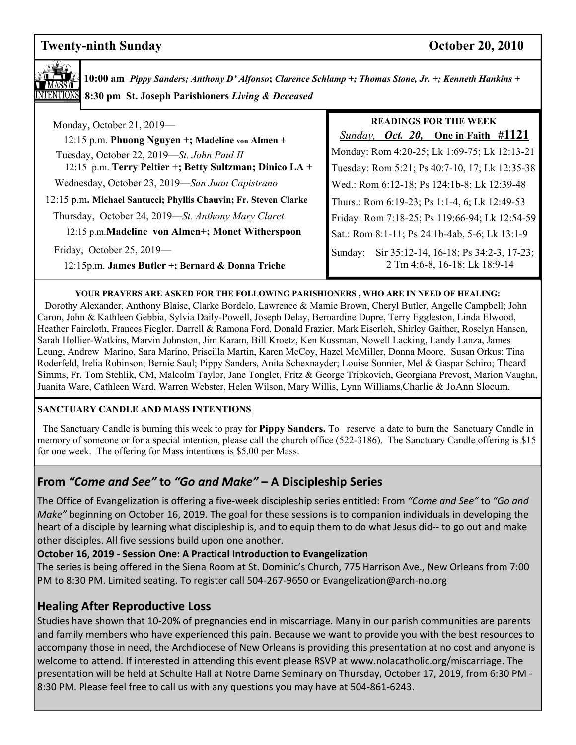# **Twenty-ninth Sunday Contract Contract Contract Contract Contract Contract Contract Contract Contract Contract Contract Contract Contract Contract Contract Contract Contract Contract Contract Contract Contract Contract Con**

**10:00 am** *Pippy Sanders; Anthony D' Alfonso***;** *Clarence Schlamp +; Thomas Stone, Jr. +; Kenneth Hankins +***8:30 pm St. Joseph Parishioners** *Living & Deceased* 

| Monday, October 21, 2019-                                                     | <b>READINGS FOR THE WEEK</b>                                                       |
|-------------------------------------------------------------------------------|------------------------------------------------------------------------------------|
| 12:15 p.m. Phuong Nguyen +; Madeline von Almen +                              | Sunday, Oct. 20, One in Faith #1121                                                |
| Tuesday, October 22, 2019-St. John Paul II                                    | Monday: Rom 4:20-25; Lk 1:69-75; Lk 12:13-21                                       |
| 12:15 p.m. Terry Peltier +; Betty Sultzman; Dinico LA +                       | Tuesday: Rom 5:21; Ps 40:7-10, 17; Lk 12:35-38                                     |
| Wednesday, October 23, 2019-San Juan Capistrano                               | Wed.: Rom 6:12-18; Ps 124:1b-8; Lk 12:39-48                                        |
| 12:15 p.m. Michael Santucci; Phyllis Chauvin; Fr. Steven Clarke               | Thurs.: Rom 6:19-23; Ps 1:1-4, 6; Lk 12:49-53                                      |
| Thursday, October 24, 2019—St. Anthony Mary Claret                            | Friday: Rom 7:18-25; Ps 119:66-94; Lk 12:54-59                                     |
| 12:15 p.m.Madeline von Almen+; Monet Witherspoon                              | Sat.: Rom 8:1-11; Ps 24:1b-4ab, 5-6; Lk 13:1-9                                     |
| Friday, October 25, 2019-<br>12:15p.m. James Butler +; Bernard & Donna Triche | Sir 35:12-14, 16-18; Ps 34:2-3, 17-23;<br>Sunday:<br>2 Tm 4:6-8, 16-18; Lk 18:9-14 |

#### **YOUR PRAYERS ARE ASKED FOR THE FOLLOWING PARISHIONERS , WHO ARE IN NEED OF HEALING:**

 Dorothy Alexander, Anthony Blaise, Clarke Bordelo, Lawrence & Mamie Brown, Cheryl Butler, Angelle Campbell; John Caron, John & Kathleen Gebbia, Sylvia Daily-Powell, Joseph Delay, Bernardine Dupre, Terry Eggleston, Linda Elwood, Heather Faircloth, Frances Fiegler, Darrell & Ramona Ford, Donald Frazier, Mark Eiserloh, Shirley Gaither, Roselyn Hansen, Sarah Hollier-Watkins, Marvin Johnston, Jim Karam, Bill Kroetz, Ken Kussman, Nowell Lacking, Landy Lanza, James Leung, Andrew Marino, Sara Marino, Priscilla Martin, Karen McCoy, Hazel McMiller, Donna Moore, Susan Orkus; Tina Roderfeld, Irelia Robinson; Bernie Saul; Pippy Sanders, Anita Schexnayder; Louise Sonnier, Mel & Gaspar Schiro; Theard Simms, Fr. Tom Stehlik, CM, Malcolm Taylor, Jane Tonglet, Fritz & George Tripkovich, Georgiana Prevost, Marion Vaughn, Juanita Ware, Cathleen Ward, Warren Webster, Helen Wilson, Mary Willis, Lynn Williams,Charlie & JoAnn Slocum.

#### **SANCTUARY CANDLE AND MASS INTENTIONS**

 The Sanctuary Candle is burning this week to pray for **Pippy Sanders.** To reserve a date to burn the Sanctuary Candle in memory of someone or for a special intention, please call the church office (522-3186). The Sanctuary Candle offering is \$15 for one week. The offering for Mass intentions is \$5.00 per Mass.

## **From** *"Come and See"* **to** *"Go and Make"* **– A Discipleship Series**

The Office of Evangelization is offering a five-week discipleship series entitled: From *"Come and See"* to *"Go and Make"* beginning on October 16, 2019. The goal for these sessions is to companion individuals in developing the heart of a disciple by learning what discipleship is, and to equip them to do what Jesus did-- to go out and make other disciples. All five sessions build upon one another.

#### **October 16, 2019 - Session One: A Practical Introduction to Evangelization**

The series is being offered in the Siena Room at St. Dominic's Church, 775 Harrison Ave., New Orleans from 7:00 PM to 8:30 PM. Limited seating. To register call 504-267-9650 or Evangelization@arch-no.org

### **Healing After Reproductive Loss**

Studies have shown that 10-20% of pregnancies end in miscarriage. Many in our parish communities are parents and family members who have experienced this pain. Because we want to provide you with the best resources to accompany those in need, the Archdiocese of New Orleans is providing this presentation at no cost and anyone is welcome to attend. If interested in attending this event please RSVP at www.nolacatholic.org/miscarriage. The presentation will be held at Schulte Hall at Notre Dame Seminary on Thursday, October 17, 2019, from 6:30 PM - 8:30 PM. Please feel free to call us with any questions you may have at 504-861-6243.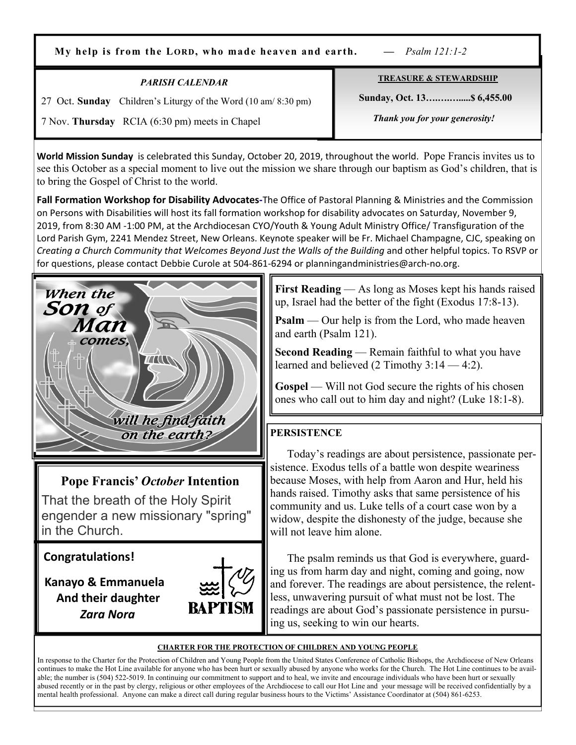**My help is from the LORD, who made heaven and earth.** *— Psalm 121:1‑2*

| <b>PARISH CALENDAR</b>                                         | <b>TREASURE &amp; STEWARDSHIP</b> |
|----------------------------------------------------------------|-----------------------------------|
| 27 Oct. Sunday Children's Liturgy of the Word (10 am/ 8:30 pm) | Sunday, Oct. 13 \$6,455.00        |
| 7 Nov. Thursday RCIA (6:30 pm) meets in Chapel                 | Thank you for your generosity!    |

**World Mission Sunday** is celebrated this Sunday, October 20, 2019, throughout the world. Pope Francis invites us to see this October as a special moment to live out the mission we share through our baptism as God's children, that is to bring the Gospel of Christ to the world.

**Fall Formation Workshop for Disability Advocates-**The Office of Pastoral Planning & Ministries and the Commission on Persons with Disabilities will host its fall formation workshop for disability advocates on Saturday, November 9, 2019, from 8:30 AM -1:00 PM, at the Archdiocesan CYO/Youth & Young Adult Ministry Office/ Transfiguration of the Lord Parish Gym, 2241 Mendez Street, New Orleans. Keynote speaker will be Fr. Michael Champagne, CJC, speaking on *Creating a Church Community that Welcomes Beyond Just the Walls of the Building* and other helpful topics. To RSVP or for questions, please contact Debbie Curole at 504-861-6294 or planningandministries@arch-no.org.



**Pope Francis'** *October* **Intention** 

That the breath of the Holy Spirit engender a new missionary "spring" in the Church.

**Congratulations!** 

 **Kanayo & Emmanuela And their daughter** *Zara Nora*



**First Reading** — As long as Moses kept his hands raised up, Israel had the better of the fight (Exodus 17:8-13).

**Psalm** — Our help is from the Lord, who made heaven and earth (Psalm 121).

**Second Reading** — Remain faithful to what you have learned and believed (2 Timothy 3:14 — 4:2).

**Gospel** — Will not God secure the rights of his chosen ones who call out to him day and night? (Luke 18:1-8).

# **PERSISTENCE**

 Today's readings are about persistence, passionate persistence. Exodus tells of a battle won despite weariness because Moses, with help from Aaron and Hur, held his hands raised. Timothy asks that same persistence of his community and us. Luke tells of a court case won by a widow, despite the dishonesty of the judge, because she will not leave him alone.

 The psalm reminds us that God is everywhere, guarding us from harm day and night, coming and going, now and forever. The readings are about persistence, the relentless, unwavering pursuit of what must not be lost. The readings are about God's passionate persistence in pursuing us, seeking to win our hearts.

#### **CHARTER FOR THE PROTECTION OF CHILDREN AND YOUNG PEOPLE**

In response to the Charter for the Protection of Children and Young People from the United States Conference of Catholic Bishops, the Archdiocese of New Orleans continues to make the Hot Line available for anyone who has been hurt or sexually abused by anyone who works for the Church. The Hot Line continues to be available; the number is (504) 522-5019. In continuing our commitment to support and to heal, we invite and encourage individuals who have been hurt or sexually abused recently or in the past by clergy, religious or other employees of the Archdiocese to call our Hot Line and your message will be received confidentially by a mental health professional. Anyone can make a direct call during regular business hours to the Victims' Assistance Coordinator at (504) 861-6253.